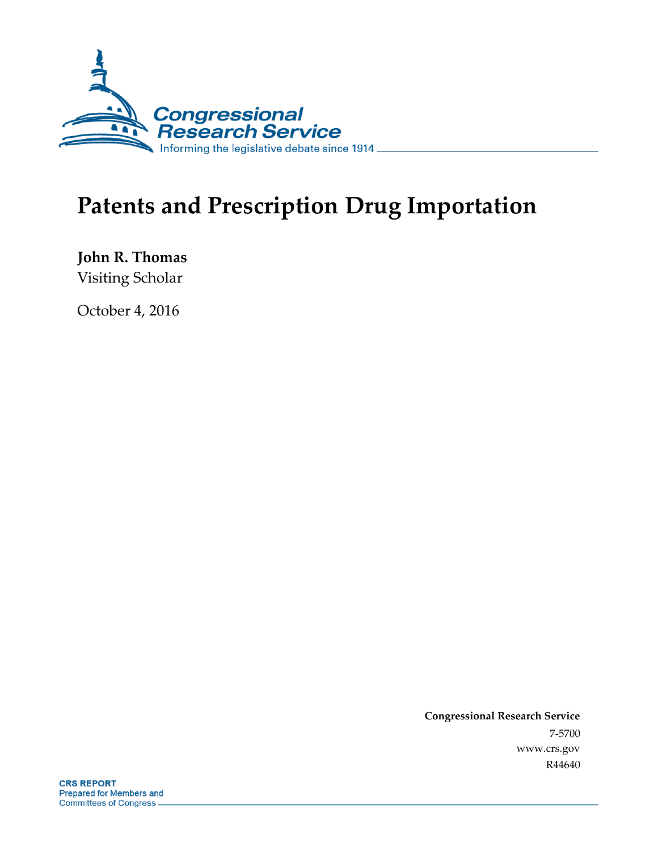

# **Patents and Prescription Drug Importation**

**John R. Thomas** Visiting Scholar

October 4, 2016

**Congressional Research Service** 7-5700 www.crs.gov R44640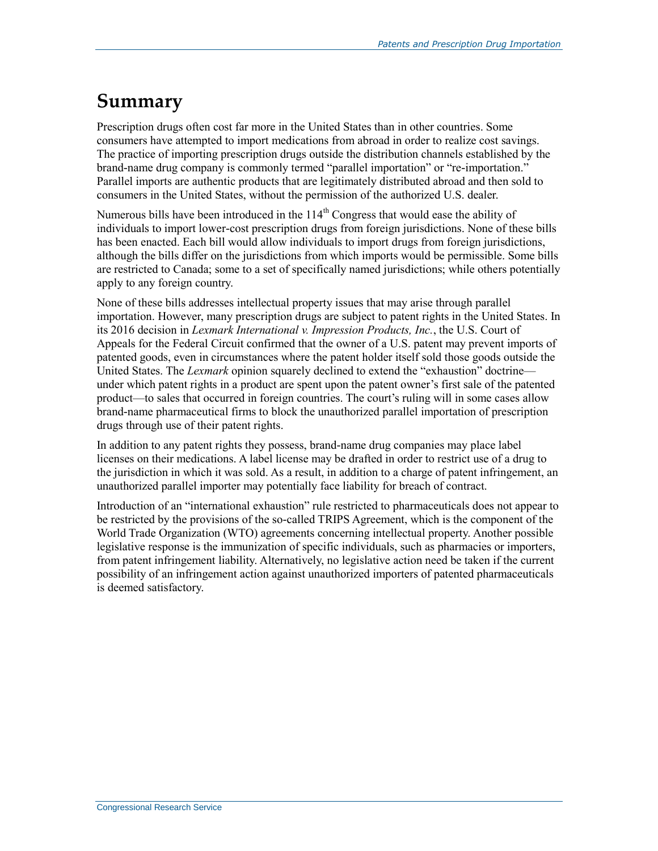### **Summary**

Prescription drugs often cost far more in the United States than in other countries. Some consumers have attempted to import medications from abroad in order to realize cost savings. The practice of importing prescription drugs outside the distribution channels established by the brand-name drug company is commonly termed "parallel importation" or "re-importation." Parallel imports are authentic products that are legitimately distributed abroad and then sold to consumers in the United States, without the permission of the authorized U.S. dealer.

Numerous bills have been introduced in the  $114<sup>th</sup>$  Congress that would ease the ability of individuals to import lower-cost prescription drugs from foreign jurisdictions. None of these bills has been enacted. Each bill would allow individuals to import drugs from foreign jurisdictions, although the bills differ on the jurisdictions from which imports would be permissible. Some bills are restricted to Canada; some to a set of specifically named jurisdictions; while others potentially apply to any foreign country.

None of these bills addresses intellectual property issues that may arise through parallel importation. However, many prescription drugs are subject to patent rights in the United States. In its 2016 decision in *Lexmark International v. Impression Products, Inc.*, the U.S. Court of Appeals for the Federal Circuit confirmed that the owner of a U.S. patent may prevent imports of patented goods, even in circumstances where the patent holder itself sold those goods outside the United States. The *Lexmark* opinion squarely declined to extend the "exhaustion" doctrine under which patent rights in a product are spent upon the patent owner's first sale of the patented product—to sales that occurred in foreign countries. The court's ruling will in some cases allow brand-name pharmaceutical firms to block the unauthorized parallel importation of prescription drugs through use of their patent rights.

In addition to any patent rights they possess, brand-name drug companies may place label licenses on their medications. A label license may be drafted in order to restrict use of a drug to the jurisdiction in which it was sold. As a result, in addition to a charge of patent infringement, an unauthorized parallel importer may potentially face liability for breach of contract.

Introduction of an "international exhaustion" rule restricted to pharmaceuticals does not appear to be restricted by the provisions of the so-called TRIPS Agreement, which is the component of the World Trade Organization (WTO) agreements concerning intellectual property. Another possible legislative response is the immunization of specific individuals, such as pharmacies or importers, from patent infringement liability. Alternatively, no legislative action need be taken if the current possibility of an infringement action against unauthorized importers of patented pharmaceuticals is deemed satisfactory.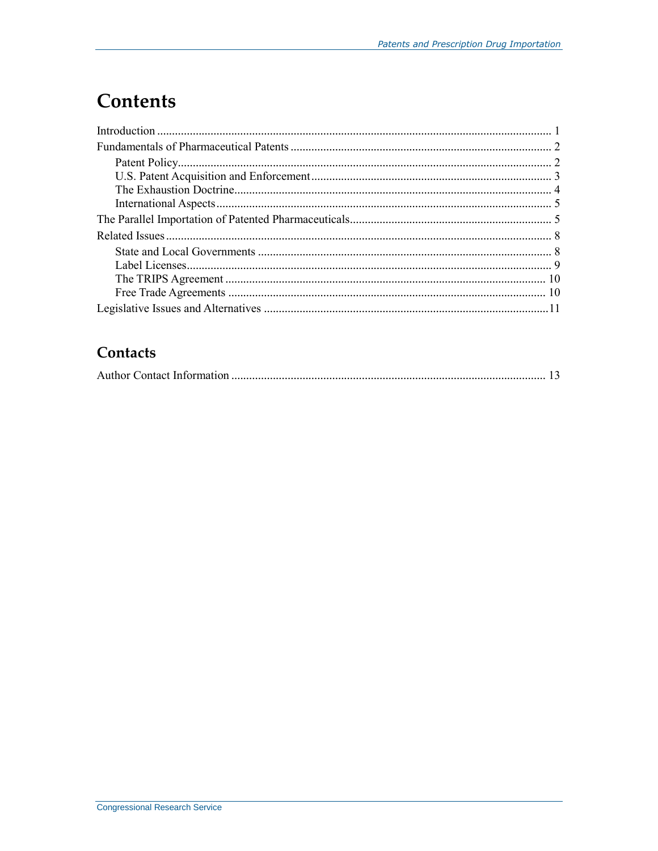# **Contents**

### Contacts

|--|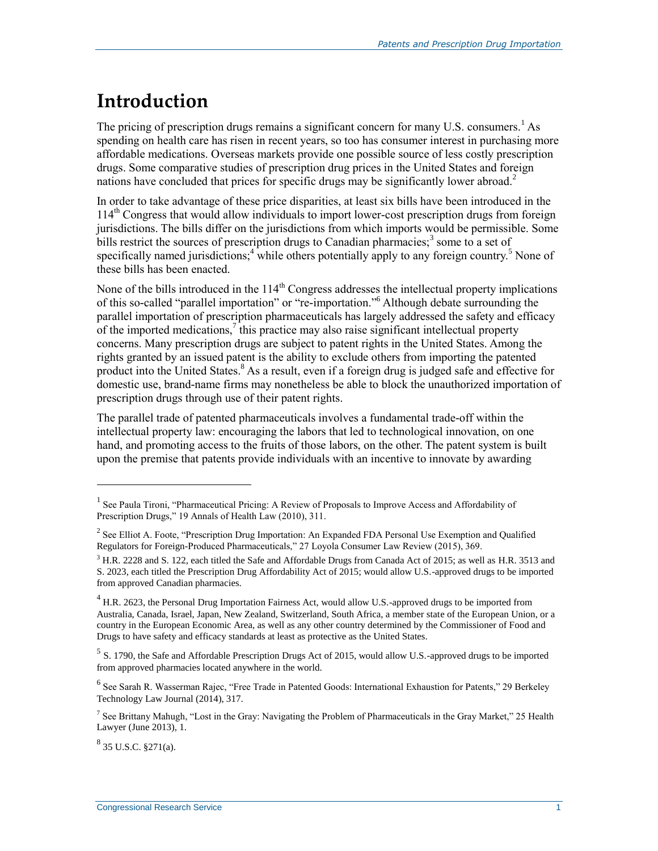# **Introduction**

The pricing of prescription drugs remains a significant concern for many U.S. consumers.<sup>1</sup> As spending on health care has risen in recent years, so too has consumer interest in purchasing more affordable medications. Overseas markets provide one possible source of less costly prescription drugs. Some comparative studies of prescription drug prices in the United States and foreign nations have concluded that prices for specific drugs may be significantly lower abroad.<sup>2</sup>

In order to take advantage of these price disparities, at least six bills have been introduced in the 114th Congress that would allow individuals to import lower-cost prescription drugs from foreign jurisdictions. The bills differ on the jurisdictions from which imports would be permissible. Some bills restrict the sources of prescription drugs to Canadian pharmacies;<sup>3</sup> some to a set of specifically named jurisdictions;<sup>4</sup> while others potentially apply to any foreign country.<sup>5</sup> None of these bills has been enacted.

None of the bills introduced in the  $114<sup>th</sup>$  Congress addresses the intellectual property implications of this so-called "parallel importation" or "re-importation."<sup>6</sup> Although debate surrounding the parallel importation of prescription pharmaceuticals has largely addressed the safety and efficacy of the imported medications,  $\frac{7}{1}$  this practice may also raise significant intellectual property concerns. Many prescription drugs are subject to patent rights in the United States. Among the rights granted by an issued patent is the ability to exclude others from importing the patented product into the United States.<sup>8</sup> As a result, even if a foreign drug is judged safe and effective for domestic use, brand-name firms may nonetheless be able to block the unauthorized importation of prescription drugs through use of their patent rights.

The parallel trade of patented pharmaceuticals involves a fundamental trade-off within the intellectual property law: encouraging the labors that led to technological innovation, on one hand, and promoting access to the fruits of those labors, on the other. The patent system is built upon the premise that patents provide individuals with an incentive to innovate by awarding

<sup>&</sup>lt;sup>1</sup> See Paula Tironi, "Pharmaceutical Pricing: A Review of Proposals to Improve Access and Affordability of Prescription Drugs," 19 Annals of Health Law (2010), 311.

<sup>&</sup>lt;sup>2</sup> See Elliot A. Foote, "Prescription Drug Importation: An Expanded FDA Personal Use Exemption and Qualified Regulators for Foreign-Produced Pharmaceuticals," 27 Loyola Consumer Law Review (2015), 369.

<sup>&</sup>lt;sup>3</sup> H.R. 2228 and S. 122, each titled the Safe and Affordable Drugs from Canada Act of 2015; as well as H.R. 3513 and S. 2023, each titled the Prescription Drug Affordability Act of 2015; would allow U.S.-approved drugs to be imported from approved Canadian pharmacies.

 $^{4}$  H.R. 2623, the Personal Drug Importation Fairness Act, would allow U.S.-approved drugs to be imported from Australia, Canada, Israel, Japan, New Zealand, Switzerland, South Africa, a member state of the European Union, or a country in the European Economic Area, as well as any other country determined by the Commissioner of Food and Drugs to have safety and efficacy standards at least as protective as the United States.

 $<sup>5</sup>$  S. 1790, the Safe and Affordable Prescription Drugs Act of 2015, would allow U.S.-approved drugs to be imported</sup> from approved pharmacies located anywhere in the world.

<sup>&</sup>lt;sup>6</sup> See Sarah R. Wasserman Rajec, "Free Trade in Patented Goods: International Exhaustion for Patents," 29 Berkeley Technology Law Journal (2014), 317.

<sup>&</sup>lt;sup>7</sup> See Brittany Mahugh, "Lost in the Gray: Navigating the Problem of Pharmaceuticals in the Gray Market," 25 Health Lawyer (June 2013), 1.

 $8$  35 U.S.C.  $\S$ 271(a).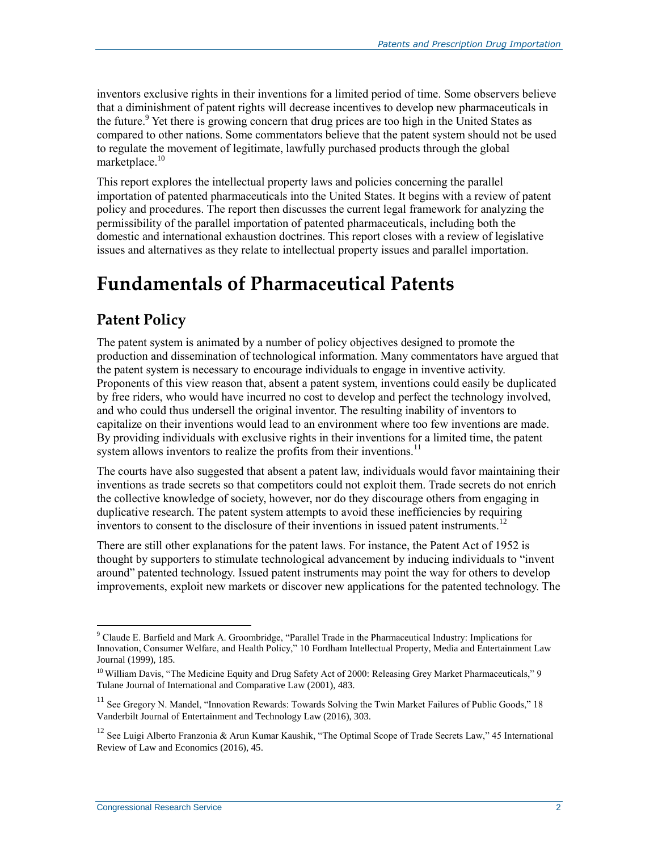inventors exclusive rights in their inventions for a limited period of time. Some observers believe that a diminishment of patent rights will decrease incentives to develop new pharmaceuticals in the future.<sup>9</sup> Yet there is growing concern that drug prices are too high in the United States as compared to other nations. Some commentators believe that the patent system should not be used to regulate the movement of legitimate, lawfully purchased products through the global marketplace. $10$ 

This report explores the intellectual property laws and policies concerning the parallel importation of patented pharmaceuticals into the United States. It begins with a review of patent policy and procedures. The report then discusses the current legal framework for analyzing the permissibility of the parallel importation of patented pharmaceuticals, including both the domestic and international exhaustion doctrines. This report closes with a review of legislative issues and alternatives as they relate to intellectual property issues and parallel importation.

### **Fundamentals of Pharmaceutical Patents**

### **Patent Policy**

The patent system is animated by a number of policy objectives designed to promote the production and dissemination of technological information. Many commentators have argued that the patent system is necessary to encourage individuals to engage in inventive activity. Proponents of this view reason that, absent a patent system, inventions could easily be duplicated by free riders, who would have incurred no cost to develop and perfect the technology involved, and who could thus undersell the original inventor. The resulting inability of inventors to capitalize on their inventions would lead to an environment where too few inventions are made. By providing individuals with exclusive rights in their inventions for a limited time, the patent system allows inventors to realize the profits from their inventions.<sup>11</sup>

The courts have also suggested that absent a patent law, individuals would favor maintaining their inventions as trade secrets so that competitors could not exploit them. Trade secrets do not enrich the collective knowledge of society, however, nor do they discourage others from engaging in duplicative research. The patent system attempts to avoid these inefficiencies by requiring inventors to consent to the disclosure of their inventions in issued patent instruments.<sup>12</sup>

There are still other explanations for the patent laws. For instance, the Patent Act of 1952 is thought by supporters to stimulate technological advancement by inducing individuals to "invent around" patented technology. Issued patent instruments may point the way for others to develop improvements, exploit new markets or discover new applications for the patented technology. The

<sup>9</sup> Claude E. Barfield and Mark A. Groombridge, "Parallel Trade in the Pharmaceutical Industry: Implications for Innovation, Consumer Welfare, and Health Policy," 10 Fordham Intellectual Property, Media and Entertainment Law Journal (1999), 185.

<sup>&</sup>lt;sup>10</sup> William Davis, "The Medicine Equity and Drug Safety Act of 2000: Releasing Grey Market Pharmaceuticals," 9 Tulane Journal of International and Comparative Law (2001), 483.

<sup>&</sup>lt;sup>11</sup> See Gregory N. Mandel, "Innovation Rewards: Towards Solving the Twin Market Failures of Public Goods," 18 Vanderbilt Journal of Entertainment and Technology Law (2016), 303.

<sup>&</sup>lt;sup>12</sup> See Luigi Alberto Franzonia & Arun Kumar Kaushik, "The Optimal Scope of Trade Secrets Law," 45 International Review of Law and Economics (2016), 45.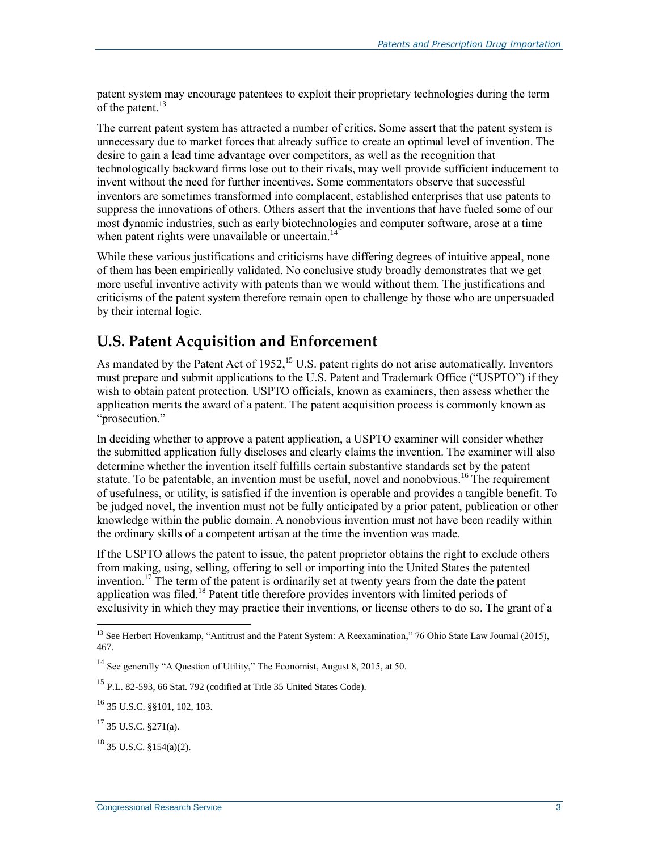patent system may encourage patentees to exploit their proprietary technologies during the term of the patent. $^{13}$ 

The current patent system has attracted a number of critics. Some assert that the patent system is unnecessary due to market forces that already suffice to create an optimal level of invention. The desire to gain a lead time advantage over competitors, as well as the recognition that technologically backward firms lose out to their rivals, may well provide sufficient inducement to invent without the need for further incentives. Some commentators observe that successful inventors are sometimes transformed into complacent, established enterprises that use patents to suppress the innovations of others. Others assert that the inventions that have fueled some of our most dynamic industries, such as early biotechnologies and computer software, arose at a time when patent rights were unavailable or uncertain. $14$ 

While these various justifications and criticisms have differing degrees of intuitive appeal, none of them has been empirically validated. No conclusive study broadly demonstrates that we get more useful inventive activity with patents than we would without them. The justifications and criticisms of the patent system therefore remain open to challenge by those who are unpersuaded by their internal logic.

### **U.S. Patent Acquisition and Enforcement**

As mandated by the Patent Act of 1952,<sup>15</sup> U.S. patent rights do not arise automatically. Inventors must prepare and submit applications to the U.S. Patent and Trademark Office ("USPTO") if they wish to obtain patent protection. USPTO officials, known as examiners, then assess whether the application merits the award of a patent. The patent acquisition process is commonly known as "prosecution."

In deciding whether to approve a patent application, a USPTO examiner will consider whether the submitted application fully discloses and clearly claims the invention. The examiner will also determine whether the invention itself fulfills certain substantive standards set by the patent statute. To be patentable, an invention must be useful, novel and nonobvious.<sup>16</sup> The requirement of usefulness, or utility, is satisfied if the invention is operable and provides a tangible benefit. To be judged novel, the invention must not be fully anticipated by a prior patent, publication or other knowledge within the public domain. A nonobvious invention must not have been readily within the ordinary skills of a competent artisan at the time the invention was made.

If the USPTO allows the patent to issue, the patent proprietor obtains the right to exclude others from making, using, selling, offering to sell or importing into the United States the patented invention.<sup>17</sup> The term of the patent is ordinarily set at twenty years from the date the patent application was filed.<sup>18</sup> Patent title therefore provides inventors with limited periods of exclusivity in which they may practice their inventions, or license others to do so. The grant of a

<sup>&</sup>lt;sup>13</sup> See Herbert Hovenkamp, "Antitrust and the Patent System: A Reexamination," 76 Ohio State Law Journal (2015), 467.

<sup>&</sup>lt;sup>14</sup> See generally "A Question of Utility," The Economist, August 8, 2015, at 50.

<sup>15</sup> P.L. 82-593, 66 Stat. 792 (codified at Title 35 United States Code).

<sup>16</sup> 35 U.S.C. §§101, 102, 103.

 $17$  35 U.S.C. §271(a).

 $18$  35 U.S.C. §154(a)(2).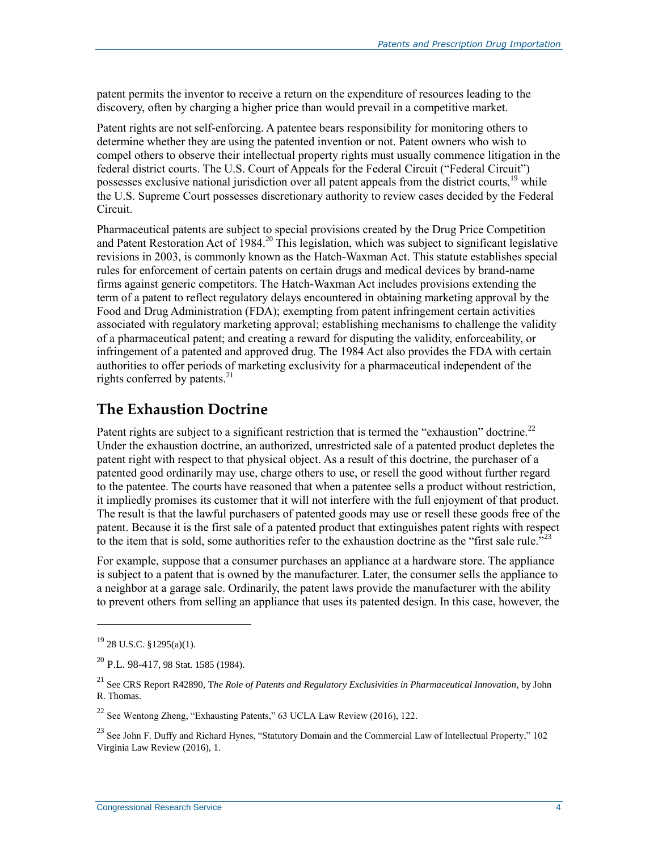patent permits the inventor to receive a return on the expenditure of resources leading to the discovery, often by charging a higher price than would prevail in a competitive market.

Patent rights are not self-enforcing. A patentee bears responsibility for monitoring others to determine whether they are using the patented invention or not. Patent owners who wish to compel others to observe their intellectual property rights must usually commence litigation in the federal district courts. The U.S. Court of Appeals for the Federal Circuit ("Federal Circuit") possesses exclusive national jurisdiction over all patent appeals from the district courts,<sup>19</sup> while the U.S. Supreme Court possesses discretionary authority to review cases decided by the Federal Circuit.

Pharmaceutical patents are subject to special provisions created by the Drug Price Competition and Patent Restoration Act of 1984.<sup>20</sup> This legislation, which was subject to significant legislative revisions in 2003, is commonly known as the Hatch-Waxman Act. This statute establishes special rules for enforcement of certain patents on certain drugs and medical devices by brand-name firms against generic competitors. The Hatch-Waxman Act includes provisions extending the term of a patent to reflect regulatory delays encountered in obtaining marketing approval by the Food and Drug Administration (FDA); exempting from patent infringement certain activities associated with regulatory marketing approval; establishing mechanisms to challenge the validity of a pharmaceutical patent; and creating a reward for disputing the validity, enforceability, or infringement of a patented and approved drug. The 1984 Act also provides the FDA with certain authorities to offer periods of marketing exclusivity for a pharmaceutical independent of the rights conferred by patents.<sup>21</sup>

#### **The Exhaustion Doctrine**

Patent rights are subject to a significant restriction that is termed the "exhaustion" doctrine.<sup>22</sup> Under the exhaustion doctrine, an authorized, unrestricted sale of a patented product depletes the patent right with respect to that physical object. As a result of this doctrine, the purchaser of a patented good ordinarily may use, charge others to use, or resell the good without further regard to the patentee. The courts have reasoned that when a patentee sells a product without restriction, it impliedly promises its customer that it will not interfere with the full enjoyment of that product. The result is that the lawful purchasers of patented goods may use or resell these goods free of the patent. Because it is the first sale of a patented product that extinguishes patent rights with respect to the item that is sold, some authorities refer to the exhaustion doctrine as the "first sale rule."<sup>23</sup>

For example, suppose that a consumer purchases an appliance at a hardware store. The appliance is subject to a patent that is owned by the manufacturer. Later, the consumer sells the appliance to a neighbor at a garage sale. Ordinarily, the patent laws provide the manufacturer with the ability to prevent others from selling an appliance that uses its patented design. In this case, however, the

 $19$  28 U.S.C. §1295(a)(1).

 $20$  P.L. 98-417, 98 Stat. 1585 (1984).

<sup>21</sup> See CRS Report R42890, T*he Role of Patents and Regulatory Exclusivities in Pharmaceutical Innovation*, by John R. Thomas.

<sup>22</sup> See Wentong Zheng, "Exhausting Patents," 63 UCLA Law Review (2016), 122.

<sup>&</sup>lt;sup>23</sup> See John F. Duffy and Richard Hynes, "Statutory Domain and the Commercial Law of Intellectual Property," 102 Virginia Law Review (2016), 1.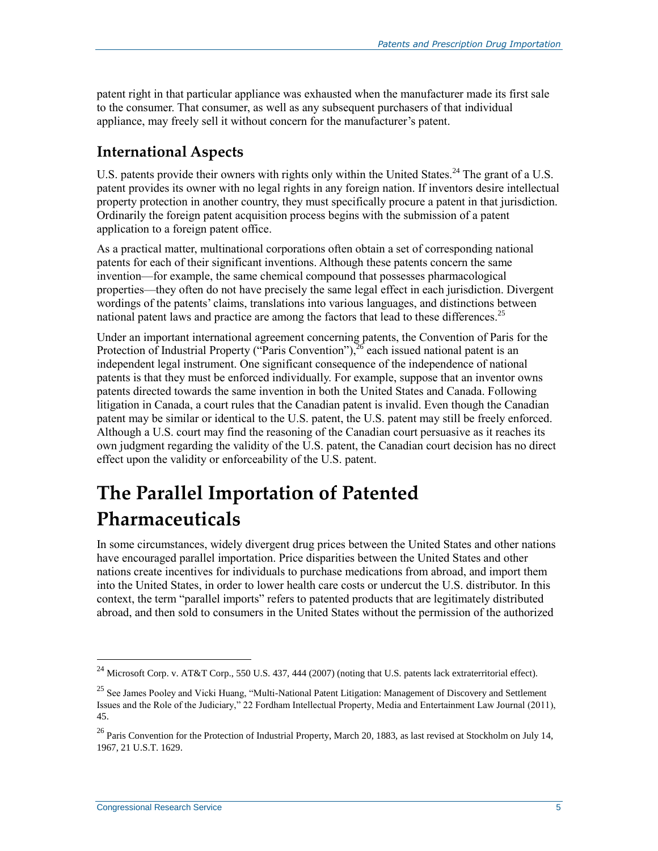patent right in that particular appliance was exhausted when the manufacturer made its first sale to the consumer. That consumer, as well as any subsequent purchasers of that individual appliance, may freely sell it without concern for the manufacturer's patent.

### **International Aspects**

U.S. patents provide their owners with rights only within the United States.<sup>24</sup> The grant of a U.S. patent provides its owner with no legal rights in any foreign nation. If inventors desire intellectual property protection in another country, they must specifically procure a patent in that jurisdiction. Ordinarily the foreign patent acquisition process begins with the submission of a patent application to a foreign patent office.

As a practical matter, multinational corporations often obtain a set of corresponding national patents for each of their significant inventions. Although these patents concern the same invention—for example, the same chemical compound that possesses pharmacological properties—they often do not have precisely the same legal effect in each jurisdiction. Divergent wordings of the patents' claims, translations into various languages, and distinctions between national patent laws and practice are among the factors that lead to these differences.<sup>25</sup>

Under an important international agreement concerning patents, the Convention of Paris for the Protection of Industrial Property ("Paris Convention"),  $^{26}$  each issued national patent is an independent legal instrument. One significant consequence of the independence of national patents is that they must be enforced individually. For example, suppose that an inventor owns patents directed towards the same invention in both the United States and Canada. Following litigation in Canada, a court rules that the Canadian patent is invalid. Even though the Canadian patent may be similar or identical to the U.S. patent, the U.S. patent may still be freely enforced. Although a U.S. court may find the reasoning of the Canadian court persuasive as it reaches its own judgment regarding the validity of the U.S. patent, the Canadian court decision has no direct effect upon the validity or enforceability of the U.S. patent.

# **The Parallel Importation of Patented Pharmaceuticals**

In some circumstances, widely divergent drug prices between the United States and other nations have encouraged parallel importation. Price disparities between the United States and other nations create incentives for individuals to purchase medications from abroad, and import them into the United States, in order to lower health care costs or undercut the U.S. distributor. In this context, the term "parallel imports" refers to patented products that are legitimately distributed abroad, and then sold to consumers in the United States without the permission of the authorized

<sup>&</sup>lt;sup>24</sup> Microsoft Corp. v. AT&T Corp., 550 U.S. 437, 444 (2007) (noting that U.S. patents lack extraterritorial effect).

<sup>&</sup>lt;sup>25</sup> See James Pooley and Vicki Huang, "Multi-National Patent Litigation: Management of Discovery and Settlement Issues and the Role of the Judiciary," 22 Fordham Intellectual Property, Media and Entertainment Law Journal (2011), 45.

 $26$  Paris Convention for the Protection of Industrial Property, March 20, 1883, as last revised at Stockholm on July 14, 1967, 21 U.S.T. 1629.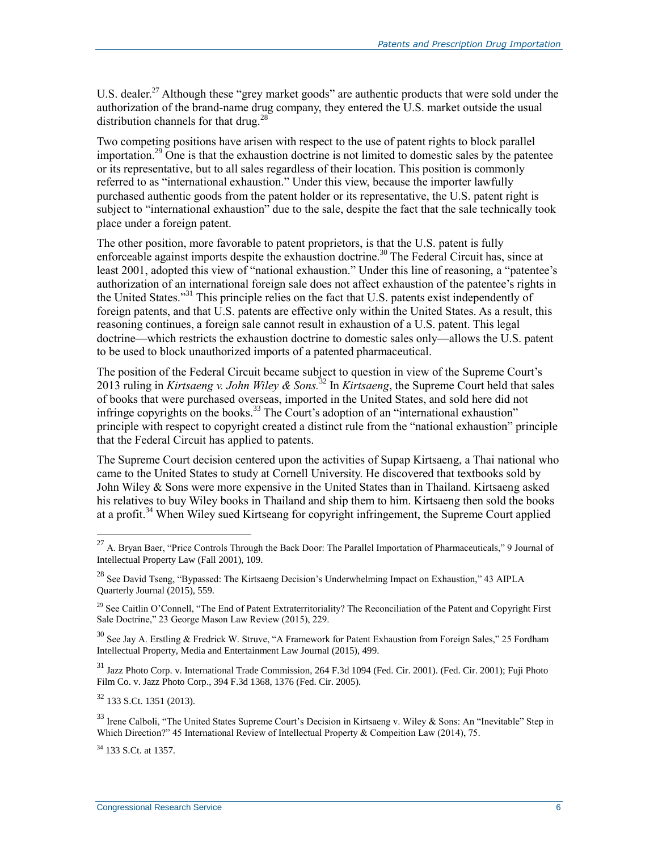U.S. dealer.<sup>27</sup> Although these "grey market goods" are authentic products that were sold under the authorization of the brand-name drug company, they entered the U.S. market outside the usual distribution channels for that drug.<sup>28</sup>

Two competing positions have arisen with respect to the use of patent rights to block parallel importation.<sup>29</sup> One is that the exhaustion doctrine is not limited to domestic sales by the patentee or its representative, but to all sales regardless of their location. This position is commonly referred to as "international exhaustion." Under this view, because the importer lawfully purchased authentic goods from the patent holder or its representative, the U.S. patent right is subject to "international exhaustion" due to the sale, despite the fact that the sale technically took place under a foreign patent.

The other position, more favorable to patent proprietors, is that the U.S. patent is fully enforceable against imports despite the exhaustion doctrine.<sup>30</sup> The Federal Circuit has, since at least 2001, adopted this view of "national exhaustion." Under this line of reasoning, a "patentee's authorization of an international foreign sale does not affect exhaustion of the patentee's rights in the United States."<sup>31</sup> This principle relies on the fact that U.S. patents exist independently of foreign patents, and that U.S. patents are effective only within the United States. As a result, this reasoning continues, a foreign sale cannot result in exhaustion of a U.S. patent. This legal doctrine—which restricts the exhaustion doctrine to domestic sales only—allows the U.S. patent to be used to block unauthorized imports of a patented pharmaceutical.

The position of the Federal Circuit became subject to question in view of the Supreme Court's 2013 ruling in *Kirtsaeng v. John Wiley & Sons.*<sup>32</sup> In *Kirtsaeng*, the Supreme Court held that sales of books that were purchased overseas, imported in the United States, and sold here did not infringe copyrights on the books.<sup>33</sup> The Court's adoption of an "international exhaustion" principle with respect to copyright created a distinct rule from the "national exhaustion" principle that the Federal Circuit has applied to patents.

The Supreme Court decision centered upon the activities of Supap Kirtsaeng, a Thai national who came to the United States to study at Cornell University. He discovered that textbooks sold by John Wiley & Sons were more expensive in the United States than in Thailand. Kirtsaeng asked his relatives to buy Wiley books in Thailand and ship them to him. Kirtsaeng then sold the books at a profit.<sup>34</sup> When Wiley sued Kirtseang for copyright infringement, the Supreme Court applied

 $32$  133 S.Ct. 1351 (2013).

 $33$  Irene Calboli, "The United States Supreme Court's Decision in Kirtsaeng v. Wiley & Sons: An "Inevitable" Step in Which Direction?" 45 International Review of Intellectual Property & Compeition Law (2014), 75.

<sup>34</sup> 133 S.Ct. at 1357.

<sup>&</sup>lt;sup>27</sup> A. Bryan Baer, "Price Controls Through the Back Door: The Parallel Importation of Pharmaceuticals," 9 Journal of Intellectual Property Law (Fall 2001), 109.

<sup>&</sup>lt;sup>28</sup> See David Tseng, "Bypassed: The Kirtsaeng Decision's Underwhelming Impact on Exhaustion," 43 AIPLA Quarterly Journal (2015), 559.

<sup>&</sup>lt;sup>29</sup> See Caitlin O'Connell, "The End of Patent Extraterritoriality? The Reconciliation of the Patent and Copyright First Sale Doctrine," 23 George Mason Law Review (2015), 229.

<sup>30</sup> See Jay A. Erstling & Fredrick W. Struve, "A Framework for Patent Exhaustion from Foreign Sales," 25 Fordham Intellectual Property, Media and Entertainment Law Journal (2015), 499.

<sup>31</sup> Jazz Photo Corp. v. International Trade Commission, 264 F.3d 1094 (Fed. Cir. 2001). (Fed. Cir. 2001); Fuji Photo Film Co. v. Jazz Photo Corp., 394 F.3d 1368, 1376 (Fed. Cir. 2005).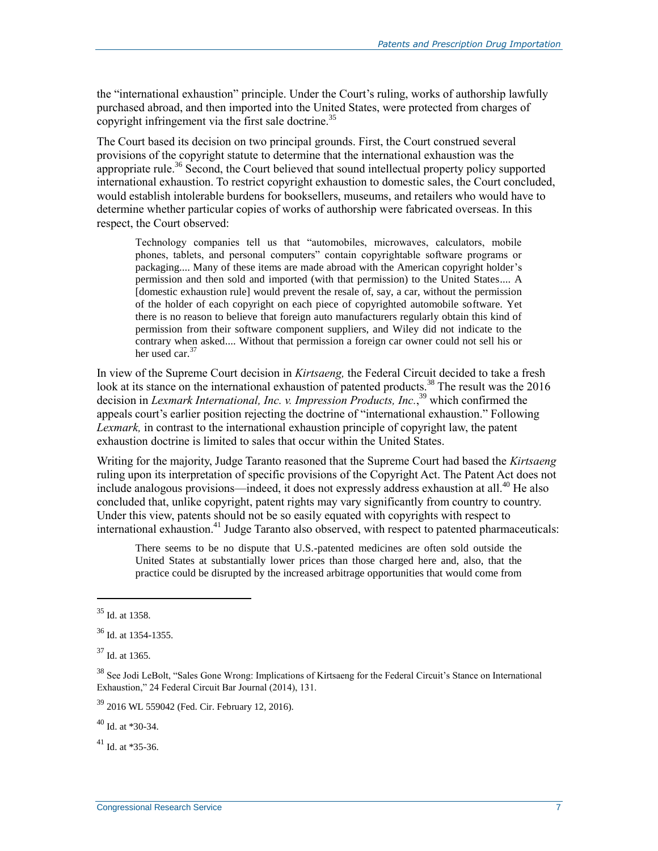the "international exhaustion" principle. Under the Court's ruling, works of authorship lawfully purchased abroad, and then imported into the United States, were protected from charges of copyright infringement via the first sale doctrine.<sup>35</sup>

The Court based its decision on two principal grounds. First, the Court construed several provisions of the copyright statute to determine that the international exhaustion was the appropriate rule.<sup>36</sup> Second, the Court believed that sound intellectual property policy supported international exhaustion. To restrict copyright exhaustion to domestic sales, the Court concluded, would establish intolerable burdens for booksellers, museums, and retailers who would have to determine whether particular copies of works of authorship were fabricated overseas. In this respect, the Court observed:

Technology companies tell us that "automobiles, microwaves, calculators, mobile phones, tablets, and personal computers" contain copyrightable software programs or packaging.... Many of these items are made abroad with the American copyright holder's permission and then sold and imported (with that permission) to the United States.... A [domestic exhaustion rule] would prevent the resale of, say, a car, without the permission of the holder of each copyright on each piece of copyrighted automobile software. Yet there is no reason to believe that foreign auto manufacturers regularly obtain this kind of permission from their software component suppliers, and Wiley did not indicate to the contrary when asked.... Without that permission a foreign car owner could not sell his or her used car.<sup>37</sup>

In view of the Supreme Court decision in *Kirtsaeng,* the Federal Circuit decided to take a fresh look at its stance on the international exhaustion of patented products.<sup>38</sup> The result was the 2016 decision in *Lexmark International, Inc. v. Impression Products, Inc.*, <sup>39</sup> which confirmed the appeals court's earlier position rejecting the doctrine of "international exhaustion." Following *Lexmark,* in contrast to the international exhaustion principle of copyright law, the patent exhaustion doctrine is limited to sales that occur within the United States.

Writing for the majority, Judge Taranto reasoned that the Supreme Court had based the *Kirtsaeng*  ruling upon its interpretation of specific provisions of the Copyright Act. The Patent Act does not include analogous provisions—indeed, it does not expressly address exhaustion at all.<sup>40</sup> He also concluded that, unlike copyright, patent rights may vary significantly from country to country. Under this view, patents should not be so easily equated with copyrights with respect to international exhaustion.<sup>41</sup> Judge Taranto also observed, with respect to patented pharmaceuticals:

There seems to be no dispute that U.S.-patented medicines are often sold outside the United States at substantially lower prices than those charged here and, also, that the practice could be disrupted by the increased arbitrage opportunities that would come from

 $\overline{a}$ 

<sup>39</sup> 2016 WL 559042 (Fed. Cir. February 12, 2016).

<sup>40</sup> Id. at \*30-34.

<sup>41</sup> Id. at \*35-36.

<sup>35</sup> Id. at 1358.

<sup>36</sup> Id. at 1354-1355.

 $37$  Id. at 1365.

<sup>38</sup> See Jodi LeBolt, "Sales Gone Wrong: Implications of Kirtsaeng for the Federal Circuit's Stance on International Exhaustion," 24 Federal Circuit Bar Journal (2014), 131.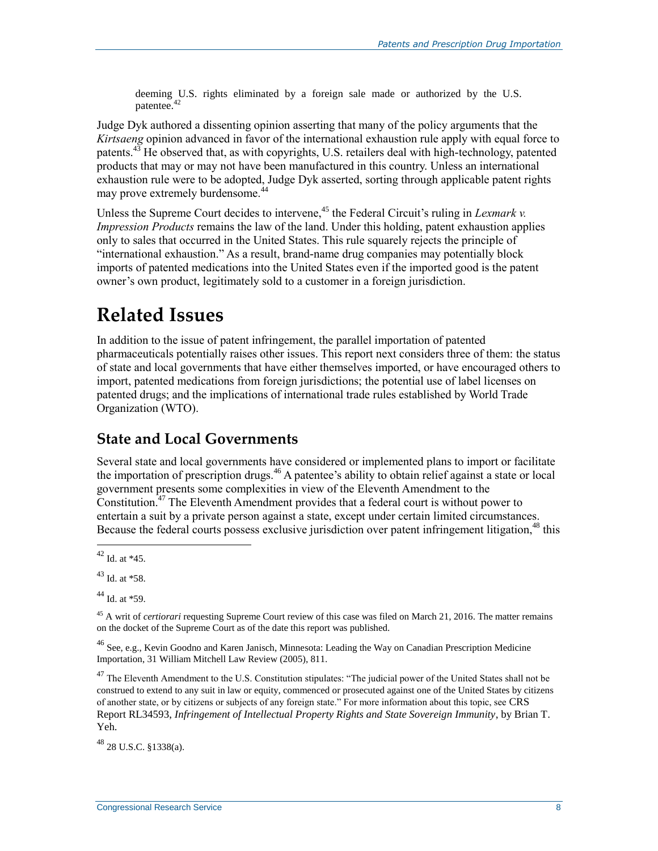deeming U.S. rights eliminated by a foreign sale made or authorized by the U.S. patentee.<sup>42</sup>

Judge Dyk authored a dissenting opinion asserting that many of the policy arguments that the *Kirtsaeng* opinion advanced in favor of the international exhaustion rule apply with equal force to patents. $43$  He observed that, as with copyrights, U.S. retailers deal with high-technology, patented products that may or may not have been manufactured in this country. Unless an international exhaustion rule were to be adopted, Judge Dyk asserted, sorting through applicable patent rights may prove extremely burdensome.<sup>44</sup>

Unless the Supreme Court decides to intervene,<sup>45</sup> the Federal Circuit's ruling in *Lexmark v. Impression Products* remains the law of the land. Under this holding, patent exhaustion applies only to sales that occurred in the United States. This rule squarely rejects the principle of "international exhaustion." As a result, brand-name drug companies may potentially block imports of patented medications into the United States even if the imported good is the patent owner's own product, legitimately sold to a customer in a foreign jurisdiction.

# **Related Issues**

In addition to the issue of patent infringement, the parallel importation of patented pharmaceuticals potentially raises other issues. This report next considers three of them: the status of state and local governments that have either themselves imported, or have encouraged others to import, patented medications from foreign jurisdictions; the potential use of label licenses on patented drugs; and the implications of international trade rules established by World Trade Organization (WTO).

#### **State and Local Governments**

Several state and local governments have considered or implemented plans to import or facilitate the importation of prescription drugs.<sup>46</sup> A patentee's ability to obtain relief against a state or local government presents some complexities in view of the Eleventh Amendment to the Constitution.<sup> $47$ </sup> The Eleventh Amendment provides that a federal court is without power to entertain a suit by a private person against a state, except under certain limited circumstances. Because the federal courts possess exclusive jurisdiction over patent infringement litigation,<sup>48</sup> this

 $44$  Id. at  $*59$ .

<sup>46</sup> See, e.g., Kevin Goodno and Karen Janisch, Minnesota: Leading the Way on Canadian Prescription Medicine Importation, 31 William Mitchell Law Review (2005), 811.

<sup>47</sup> The Eleventh Amendment to the U.S. Constitution stipulates: "The judicial power of the United States shall not be construed to extend to any suit in law or equity, commenced or prosecuted against one of the United States by citizens of another state, or by citizens or subjects of any foreign state." For more information about this topic, see CRS Report RL34593, *Infringement of Intellectual Property Rights and State Sovereign Immunity*, by Brian T. Yeh.

<sup>48</sup> 28 U.S.C. §1338(a).

 $\overline{a}$  $42$  Id. at  $*45$ .

<sup>43</sup> Id. at \*58.

<sup>45</sup> A writ of *certiorari* requesting Supreme Court review of this case was filed on March 21, 2016. The matter remains on the docket of the Supreme Court as of the date this report was published.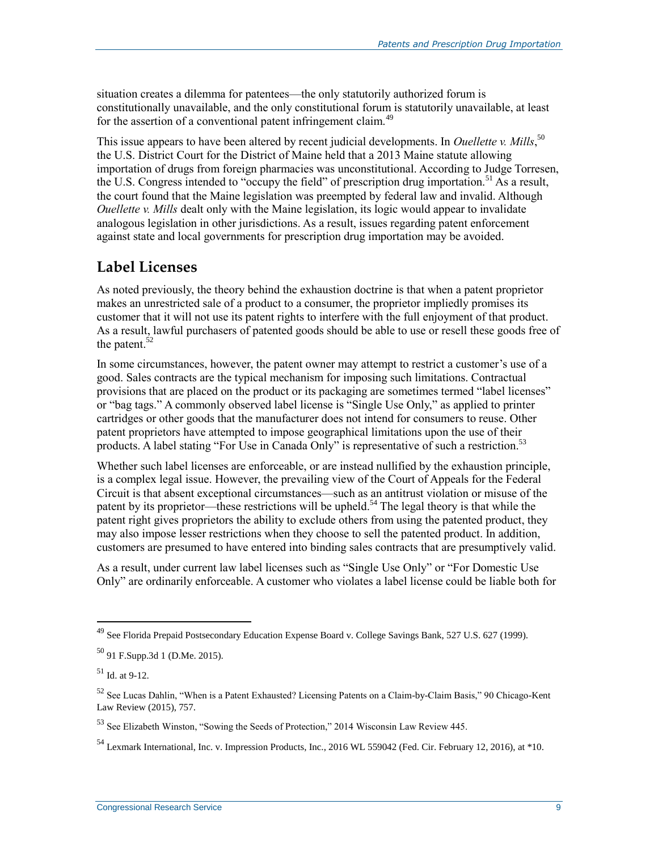situation creates a dilemma for patentees—the only statutorily authorized forum is constitutionally unavailable, and the only constitutional forum is statutorily unavailable, at least for the assertion of a conventional patent infringement claim.<sup>49</sup>

This issue appears to have been altered by recent judicial developments. In *Ouellette v. Mills*,<sup>50</sup> the U.S. District Court for the District of Maine held that a 2013 Maine statute allowing importation of drugs from foreign pharmacies was unconstitutional. According to Judge Torresen, the U.S. Congress intended to "occupy the field" of prescription drug importation.<sup>51</sup> As a result, the court found that the Maine legislation was preempted by federal law and invalid. Although *Ouellette v. Mills* dealt only with the Maine legislation, its logic would appear to invalidate analogous legislation in other jurisdictions. As a result, issues regarding patent enforcement against state and local governments for prescription drug importation may be avoided.

#### **Label Licenses**

As noted previously, the theory behind the exhaustion doctrine is that when a patent proprietor makes an unrestricted sale of a product to a consumer, the proprietor impliedly promises its customer that it will not use its patent rights to interfere with the full enjoyment of that product. As a result, lawful purchasers of patented goods should be able to use or resell these goods free of the patent. $52$ 

In some circumstances, however, the patent owner may attempt to restrict a customer's use of a good. Sales contracts are the typical mechanism for imposing such limitations. Contractual provisions that are placed on the product or its packaging are sometimes termed "label licenses" or "bag tags." A commonly observed label license is "Single Use Only," as applied to printer cartridges or other goods that the manufacturer does not intend for consumers to reuse. Other patent proprietors have attempted to impose geographical limitations upon the use of their products. A label stating "For Use in Canada Only" is representative of such a restriction.<sup>53</sup>

Whether such label licenses are enforceable, or are instead nullified by the exhaustion principle, is a complex legal issue. However, the prevailing view of the Court of Appeals for the Federal Circuit is that absent exceptional circumstances—such as an antitrust violation or misuse of the patent by its proprietor—these restrictions will be upheld.<sup>54</sup> The legal theory is that while the patent right gives proprietors the ability to exclude others from using the patented product, they may also impose lesser restrictions when they choose to sell the patented product. In addition, customers are presumed to have entered into binding sales contracts that are presumptively valid.

As a result, under current law label licenses such as "Single Use Only" or "For Domestic Use Only" are ordinarily enforceable. A customer who violates a label license could be liable both for

<sup>49</sup> See Florida Prepaid Postsecondary Education Expense Board v. College Savings Bank, 527 U.S. 627 (1999).

<sup>50</sup> 91 F.Supp.3d 1 (D.Me. 2015).

 $51$  Id. at 9-12.

<sup>52</sup> See Lucas Dahlin, "When is a Patent Exhausted? Licensing Patents on a Claim-by-Claim Basis," 90 Chicago-Kent Law Review (2015), 757.

<sup>53</sup> See Elizabeth Winston, "Sowing the Seeds of Protection," 2014 Wisconsin Law Review 445.

<sup>54</sup> Lexmark International, Inc. v. Impression Products, Inc., 2016 WL 559042 (Fed. Cir. February 12, 2016), at \*10.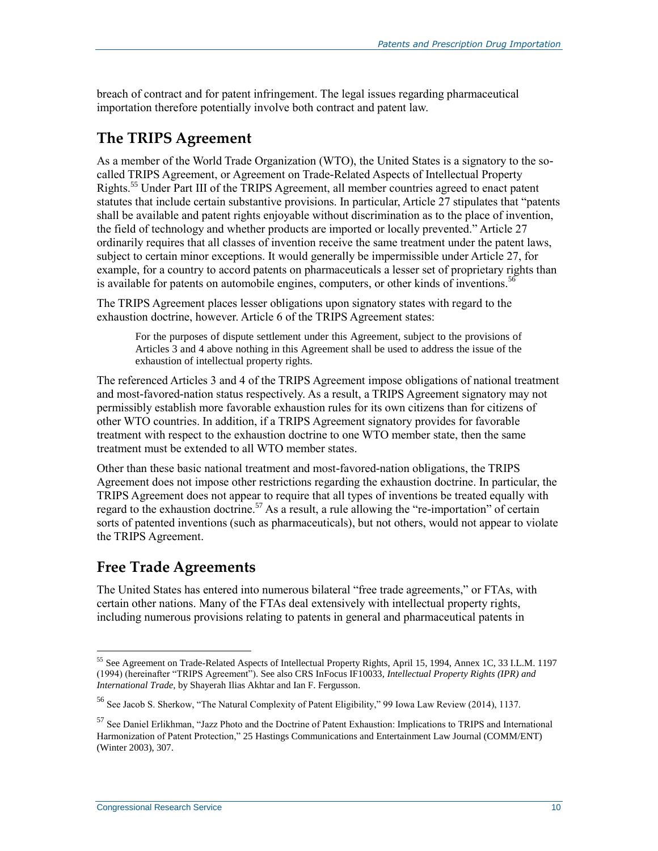breach of contract and for patent infringement. The legal issues regarding pharmaceutical importation therefore potentially involve both contract and patent law.

### **The TRIPS Agreement**

As a member of the World Trade Organization (WTO), the United States is a signatory to the socalled TRIPS Agreement, or Agreement on Trade-Related Aspects of Intellectual Property Rights.<sup>55</sup> Under Part III of the TRIPS Agreement, all member countries agreed to enact patent statutes that include certain substantive provisions. In particular, Article 27 stipulates that "patents shall be available and patent rights enjoyable without discrimination as to the place of invention, the field of technology and whether products are imported or locally prevented." Article 27 ordinarily requires that all classes of invention receive the same treatment under the patent laws, subject to certain minor exceptions. It would generally be impermissible under Article 27, for example, for a country to accord patents on pharmaceuticals a lesser set of proprietary rights than is available for patents on automobile engines, computers, or other kinds of inventions.<sup>56</sup>

The TRIPS Agreement places lesser obligations upon signatory states with regard to the exhaustion doctrine, however. Article 6 of the TRIPS Agreement states:

For the purposes of dispute settlement under this Agreement, subject to the provisions of Articles 3 and 4 above nothing in this Agreement shall be used to address the issue of the exhaustion of intellectual property rights.

The referenced Articles 3 and 4 of the TRIPS Agreement impose obligations of national treatment and most-favored-nation status respectively. As a result, a TRIPS Agreement signatory may not permissibly establish more favorable exhaustion rules for its own citizens than for citizens of other WTO countries. In addition, if a TRIPS Agreement signatory provides for favorable treatment with respect to the exhaustion doctrine to one WTO member state, then the same treatment must be extended to all WTO member states.

Other than these basic national treatment and most-favored-nation obligations, the TRIPS Agreement does not impose other restrictions regarding the exhaustion doctrine. In particular, the TRIPS Agreement does not appear to require that all types of inventions be treated equally with regard to the exhaustion doctrine.<sup>57</sup> As a result, a rule allowing the "re-importation" of certain sorts of patented inventions (such as pharmaceuticals), but not others, would not appear to violate the TRIPS Agreement.

### **Free Trade Agreements**

The United States has entered into numerous bilateral "free trade agreements," or FTAs, with certain other nations. Many of the FTAs deal extensively with intellectual property rights, including numerous provisions relating to patents in general and pharmaceutical patents in

 $\overline{a}$ <sup>55</sup> See Agreement on Trade-Related Aspects of Intellectual Property Rights, April 15, 1994, Annex 1C, 33 I.L.M. 1197 (1994) (hereinafter "TRIPS Agreement"). See also CRS InFocus IF10033, *Intellectual Property Rights (IPR) and International Trade*, by Shayerah Ilias Akhtar and Ian F. Fergusson.

<sup>56</sup> See Jacob S. Sherkow, "The Natural Complexity of Patent Eligibility," 99 Iowa Law Review (2014), 1137.

<sup>&</sup>lt;sup>57</sup> See Daniel Erlikhman, "Jazz Photo and the Doctrine of Patent Exhaustion: Implications to TRIPS and International Harmonization of Patent Protection," 25 Hastings Communications and Entertainment Law Journal (COMM/ENT) (Winter 2003), 307.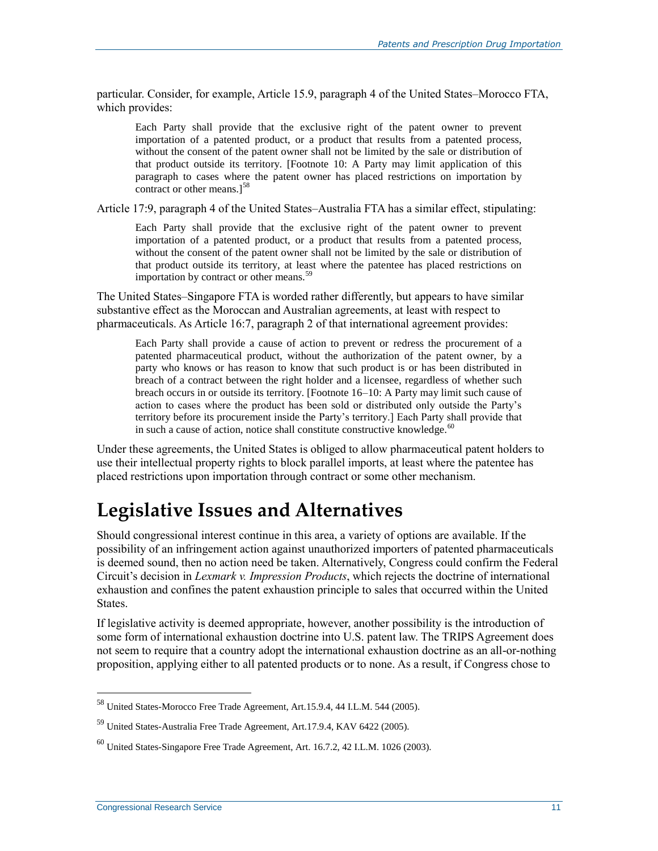particular. Consider, for example, Article 15.9, paragraph 4 of the United States–Morocco FTA, which provides:

Each Party shall provide that the exclusive right of the patent owner to prevent importation of a patented product, or a product that results from a patented process, without the consent of the patent owner shall not be limited by the sale or distribution of that product outside its territory. [Footnote 10: A Party may limit application of this paragraph to cases where the patent owner has placed restrictions on importation by contract or other means.]<sup>58</sup>

Article 17:9, paragraph 4 of the United States–Australia FTA has a similar effect, stipulating:

Each Party shall provide that the exclusive right of the patent owner to prevent importation of a patented product, or a product that results from a patented process, without the consent of the patent owner shall not be limited by the sale or distribution of that product outside its territory, at least where the patentee has placed restrictions on importation by contract or other means.<sup>59</sup>

The United States–Singapore FTA is worded rather differently, but appears to have similar substantive effect as the Moroccan and Australian agreements, at least with respect to pharmaceuticals. As Article 16:7, paragraph 2 of that international agreement provides:

Each Party shall provide a cause of action to prevent or redress the procurement of a patented pharmaceutical product, without the authorization of the patent owner, by a party who knows or has reason to know that such product is or has been distributed in breach of a contract between the right holder and a licensee, regardless of whether such breach occurs in or outside its territory. [Footnote 16–10: A Party may limit such cause of action to cases where the product has been sold or distributed only outside the Party's territory before its procurement inside the Party's territory.] Each Party shall provide that in such a cause of action, notice shall constitute constructive knowledge. $60$ 

Under these agreements, the United States is obliged to allow pharmaceutical patent holders to use their intellectual property rights to block parallel imports, at least where the patentee has placed restrictions upon importation through contract or some other mechanism.

### **Legislative Issues and Alternatives**

Should congressional interest continue in this area, a variety of options are available. If the possibility of an infringement action against unauthorized importers of patented pharmaceuticals is deemed sound, then no action need be taken. Alternatively, Congress could confirm the Federal Circuit's decision in *Lexmark v. Impression Products*, which rejects the doctrine of international exhaustion and confines the patent exhaustion principle to sales that occurred within the United States.

If legislative activity is deemed appropriate, however, another possibility is the introduction of some form of international exhaustion doctrine into U.S. patent law. The TRIPS Agreement does not seem to require that a country adopt the international exhaustion doctrine as an all-or-nothing proposition, applying either to all patented products or to none. As a result, if Congress chose to

 $^{58}$  United States-Morocco Free Trade Agreement, Art.15.9.4, 44 I.L.M. 544 (2005).

<sup>59</sup> United States-Australia Free Trade Agreement, Art.17.9.4, KAV 6422 (2005).

<sup>60</sup> United States-Singapore Free Trade Agreement, Art. 16.7.2, 42 I.L.M. 1026 (2003).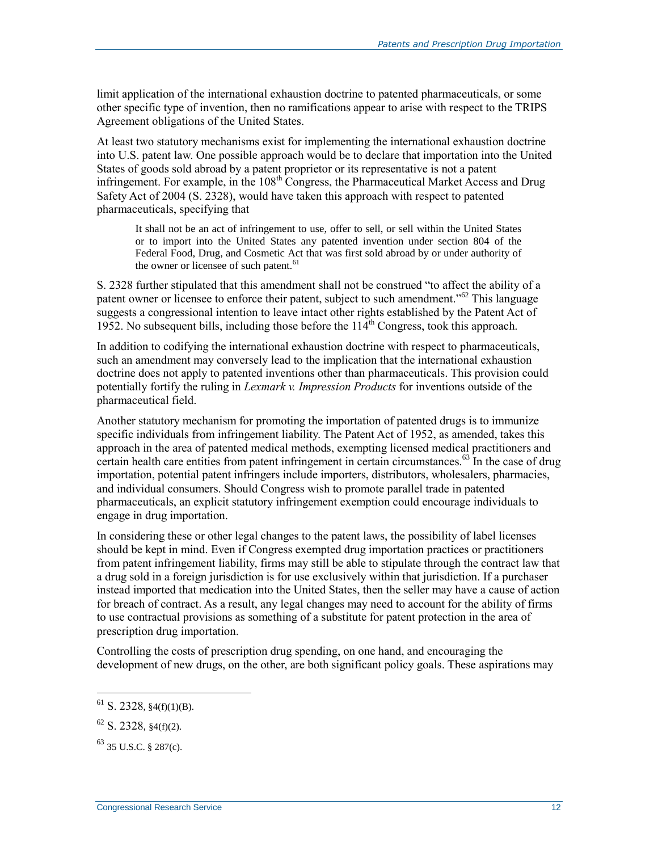limit application of the international exhaustion doctrine to patented pharmaceuticals, or some other specific type of invention, then no ramifications appear to arise with respect to the TRIPS Agreement obligations of the United States.

At least two statutory mechanisms exist for implementing the international exhaustion doctrine into U.S. patent law. One possible approach would be to declare that importation into the United States of goods sold abroad by a patent proprietor or its representative is not a patent infringement. For example, in the 108<sup>th</sup> Congress, the Pharmaceutical Market Access and Drug Safety Act of 2004 (S. 2328), would have taken this approach with respect to patented pharmaceuticals, specifying that

It shall not be an act of infringement to use, offer to sell, or sell within the United States or to import into the United States any patented invention under section 804 of the Federal Food, Drug, and Cosmetic Act that was first sold abroad by or under authority of the owner or licensee of such patent.<sup>61</sup>

S. 2328 further stipulated that this amendment shall not be construed "to affect the ability of a patent owner or licensee to enforce their patent, subject to such amendment.<sup>"62</sup> This language suggests a congressional intention to leave intact other rights established by the Patent Act of 1952. No subsequent bills, including those before the  $114<sup>th</sup>$  Congress, took this approach.

In addition to codifying the international exhaustion doctrine with respect to pharmaceuticals, such an amendment may conversely lead to the implication that the international exhaustion doctrine does not apply to patented inventions other than pharmaceuticals. This provision could potentially fortify the ruling in *Lexmark v. Impression Products* for inventions outside of the pharmaceutical field.

Another statutory mechanism for promoting the importation of patented drugs is to immunize specific individuals from infringement liability. The Patent Act of 1952, as amended, takes this approach in the area of patented medical methods, exempting licensed medical practitioners and certain health care entities from patent infringement in certain circumstances.<sup>63</sup> In the case of drug importation, potential patent infringers include importers, distributors, wholesalers, pharmacies, and individual consumers. Should Congress wish to promote parallel trade in patented pharmaceuticals, an explicit statutory infringement exemption could encourage individuals to engage in drug importation.

In considering these or other legal changes to the patent laws, the possibility of label licenses should be kept in mind. Even if Congress exempted drug importation practices or practitioners from patent infringement liability, firms may still be able to stipulate through the contract law that a drug sold in a foreign jurisdiction is for use exclusively within that jurisdiction. If a purchaser instead imported that medication into the United States, then the seller may have a cause of action for breach of contract. As a result, any legal changes may need to account for the ability of firms to use contractual provisions as something of a substitute for patent protection in the area of prescription drug importation.

Controlling the costs of prescription drug spending, on one hand, and encouraging the development of new drugs, on the other, are both significant policy goals. These aspirations may

 $61$  S. 2328,  $$4(f)(1)(B)$ .

 $62$  S. 2328, \$4(f)(2).

 $63$  35 U.S.C. § 287(c).